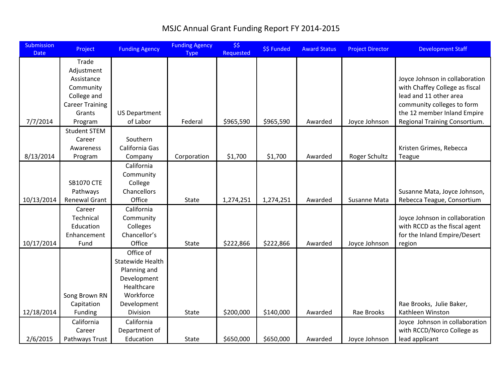## MSJC Annual Grant Funding Report FY 2014-2015

| <b>Submission</b><br><b>Date</b> | Project                  | <b>Funding Agency</b>    | <b>Funding Agency</b><br><b>Type</b> | \$5<br>Requested | \$\$ Funded | <b>Award Status</b> | <b>Project Director</b> | <b>Development Staff</b>                                      |
|----------------------------------|--------------------------|--------------------------|--------------------------------------|------------------|-------------|---------------------|-------------------------|---------------------------------------------------------------|
|                                  | Trade                    |                          |                                      |                  |             |                     |                         |                                                               |
|                                  | Adjustment               |                          |                                      |                  |             |                     |                         |                                                               |
|                                  | Assistance               |                          |                                      |                  |             |                     |                         | Joyce Johnson in collaboration                                |
|                                  | Community                |                          |                                      |                  |             |                     |                         | with Chaffey College as fiscal                                |
|                                  | College and              |                          |                                      |                  |             |                     |                         | lead and 11 other area                                        |
|                                  | <b>Career Training</b>   |                          |                                      |                  |             |                     |                         | community colleges to form                                    |
|                                  | Grants                   | <b>US Department</b>     |                                      |                  |             |                     |                         | the 12 member Inland Empire                                   |
| 7/7/2014                         | Program                  | of Labor                 | Federal                              | \$965,590        | \$965,590   | Awarded             | Joyce Johnson           | Regional Training Consortium.                                 |
|                                  | <b>Student STEM</b>      |                          |                                      |                  |             |                     |                         |                                                               |
|                                  | Career                   | Southern                 |                                      |                  |             |                     |                         |                                                               |
|                                  | Awareness                | California Gas           |                                      |                  |             |                     |                         | Kristen Grimes, Rebecca                                       |
| 8/13/2014                        | Program                  | Company                  | Corporation                          | \$1,700          | \$1,700     | Awarded             | Roger Schultz           | Teague                                                        |
|                                  |                          | California               |                                      |                  |             |                     |                         |                                                               |
|                                  |                          | Community                |                                      |                  |             |                     |                         |                                                               |
|                                  | <b>SB1070 CTE</b>        | College                  |                                      |                  |             |                     |                         |                                                               |
|                                  | Pathways                 | Chancellors              |                                      |                  |             |                     |                         | Susanne Mata, Joyce Johnson,                                  |
| 10/13/2014                       | <b>Renewal Grant</b>     | Office                   | State                                | 1,274,251        | 1,274,251   | Awarded             | Susanne Mata            | Rebecca Teague, Consortium                                    |
|                                  | Career                   | California               |                                      |                  |             |                     |                         |                                                               |
|                                  | Technical                | Community                |                                      |                  |             |                     |                         | Joyce Johnson in collaboration                                |
|                                  | Education<br>Enhancement | Colleges<br>Chancellor's |                                      |                  |             |                     |                         | with RCCD as the fiscal agent<br>for the Inland Empire/Desert |
| 10/17/2014                       | Fund                     | Office                   | <b>State</b>                         | \$222,866        | \$222,866   | Awarded             | Joyce Johnson           |                                                               |
|                                  |                          | Office of                |                                      |                  |             |                     |                         | region                                                        |
|                                  |                          | Statewide Health         |                                      |                  |             |                     |                         |                                                               |
|                                  |                          | Planning and             |                                      |                  |             |                     |                         |                                                               |
|                                  |                          | Development              |                                      |                  |             |                     |                         |                                                               |
|                                  |                          | Healthcare               |                                      |                  |             |                     |                         |                                                               |
|                                  | Song Brown RN            | Workforce                |                                      |                  |             |                     |                         |                                                               |
|                                  | Capitation               | Development              |                                      |                  |             |                     |                         | Rae Brooks, Julie Baker,                                      |
| 12/18/2014                       | Funding                  | Division                 | State                                | \$200,000        | \$140,000   | Awarded             | Rae Brooks              | Kathleen Winston                                              |
|                                  | California               | California               |                                      |                  |             |                     |                         | Joyce Johnson in collaboration                                |
|                                  | Career                   | Department of            |                                      |                  |             |                     |                         | with RCCD/Norco College as                                    |
| 2/6/2015                         | Pathways Trust           | Education                | <b>State</b>                         | \$650,000        | \$650,000   | Awarded             | Joyce Johnson           | lead applicant                                                |